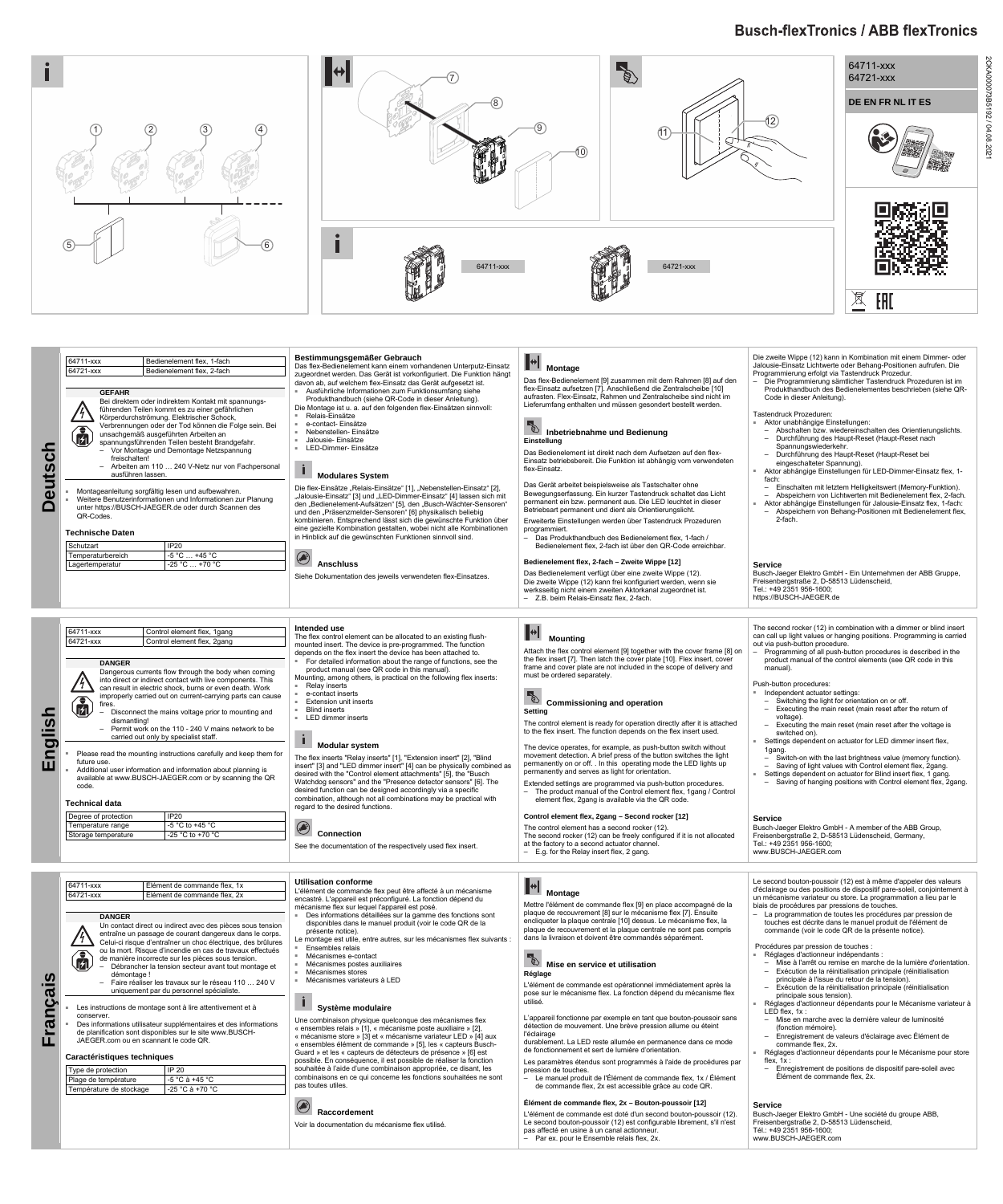# **Busch-flexTronics / ABB flexTronics**



2CKA000073B5192 / 04.08.2021

**Deutsch** 

**Deutsch** 

- sumfang siehe
- ser Anleitung). Einsätzen sinnvoll:

#### $\mathbf{F}$  **Montage**

**A**<br>Mounting

Das flex-Bedienelement [9] zusammen mit dem Rahmen [8] auf den flex-Einsatz aufsetzen [7]. Anschließend die Zentralscheibe [10] aufrasten. Flex-Einsatz, Rahmen und Zentralscheibe sind nicht im Lieferumfang enthalten und müssen gesondert bestellt werden.

## **Inbetriebnahme und Bedienung Einstellung**

Das Bedienelement ist direkt nach dem Aufsetzen auf den flex-Einsatz betriebsbereit. Die Funktion ist abhängig vom verwendeten flex-Einsatz.

Das Gerät arbeitet beispielsweise als Tastschalter ohne Bewegungserfassung. Ein kurzer Tastendruck schaltet das Licht permanent ein bzw. permanent aus. Die LED leuchtet in dieser Betriebsart permanent und dient als Orientierungslicht.

Erweiterte Einstellungen werden über Tastendruck Prozeduren programmiert.

– Das Produkthandbuch des Bedienelement flex, 1-fach / Bedienelement flex, 2-fach ist über den QR-Code erreichbar.

#### **Bedienelement flex, 2-fach – Zweite Wippe [12]**

Das Bedienelement verfügt über eine zweite Wippe (12). Die zweite Wippe (12) kann frei konfiguriert werden, wenn sie werksseitig nicht einem zweiten Aktorkanal zugeordnet ist. – Z.B. beim Relais-Einsatz flex, 2-fach.

| 64711-xxx<br>Bedienelement flex, 1-fach |                                                                                                                                                                           | Bestimmungsgemäßer Gebrauch                                                                                                                                                                                                                                                                                                                                                                                              |  |  |
|-----------------------------------------|---------------------------------------------------------------------------------------------------------------------------------------------------------------------------|--------------------------------------------------------------------------------------------------------------------------------------------------------------------------------------------------------------------------------------------------------------------------------------------------------------------------------------------------------------------------------------------------------------------------|--|--|
| 64721-xxx                               | Bedienelement flex, 2-fach                                                                                                                                                | Das flex-Bedienelement kann einem vorhandenen Unterputz-Einsatz                                                                                                                                                                                                                                                                                                                                                          |  |  |
|                                         |                                                                                                                                                                           | zugeordnet werden. Das Gerät ist vorkonfiguriert. Die Funktion hängt                                                                                                                                                                                                                                                                                                                                                     |  |  |
| <b>GEFAHR</b>                           |                                                                                                                                                                           | davon ab, auf welchem flex-Einsatz das Gerät aufgesetzt ist.<br>Ausführliche Informationen zum Funktionsumfang siehe<br>×.                                                                                                                                                                                                                                                                                               |  |  |
|                                         | Bei direktem oder indirektem Kontakt mit spannungs-                                                                                                                       | Produkthandbuch (siehe QR-Code in dieser Anleitung).                                                                                                                                                                                                                                                                                                                                                                     |  |  |
|                                         | führenden Teilen kommt es zu einer gefährlichen                                                                                                                           | Die Montage ist u. a. auf den folgenden flex-Einsätzen sinnvoll:                                                                                                                                                                                                                                                                                                                                                         |  |  |
|                                         | Körperdurchströmung. Elektrischer Schock,                                                                                                                                 | Relais-Einsätze<br>$\alpha$                                                                                                                                                                                                                                                                                                                                                                                              |  |  |
|                                         | Verbrennungen oder der Tod können die Folge sein. Bei                                                                                                                     | e-contact- Einsätze<br>$\blacksquare$<br>Nebenstellen- Einsätze<br>$\bar{a}$                                                                                                                                                                                                                                                                                                                                             |  |  |
|                                         | unsachgemäß ausgeführten Arbeiten an                                                                                                                                      | Jalousie- Einsätze<br>$\bar{a}$                                                                                                                                                                                                                                                                                                                                                                                          |  |  |
|                                         | spannungsführenden Teilen besteht Brandgefahr.<br>- Vor Montage und Demontage Netzspannung                                                                                | LED-Dimmer- Einsätze<br>×                                                                                                                                                                                                                                                                                                                                                                                                |  |  |
| freischalten!                           |                                                                                                                                                                           |                                                                                                                                                                                                                                                                                                                                                                                                                          |  |  |
|                                         | Arbeiten am 110  240 V-Netz nur von Fachpersonal                                                                                                                          |                                                                                                                                                                                                                                                                                                                                                                                                                          |  |  |
| ausführen lassen.                       |                                                                                                                                                                           | <b>Modulares System</b>                                                                                                                                                                                                                                                                                                                                                                                                  |  |  |
| ×<br>QR-Codes.                          | Montageanleitung sorgfältig lesen und aufbewahren.<br>Weitere Benutzerinformationen und Informationen zur Planung<br>unter https://BUSCH-JAEGER.de oder durch Scannen des | Die flex-Einsätze "Relais-Einsätze" [1], "Nebenstellen-Einsatz" [2],<br>"Jalousie-Einsatz" [3] und "LED-Dimmer-Einsatz" [4] lassen sich mit<br>den "Bedienelement-Aufsätzen" [5], den "Busch-Wächter-Sensoren"<br>und den "Präsenzmelder-Sensoren" [6] physikalisch beliebig<br>kombinieren. Entsprechend lässt sich die gewünschte Funktion über<br>eine gezielte Kombination gestalten, wobei nicht alle Kombinationen |  |  |
| <b>Technische Daten</b>                 |                                                                                                                                                                           | in Hinblick auf die gewünschten Funktionen sinnvoll sind.                                                                                                                                                                                                                                                                                                                                                                |  |  |
| Schutzart                               | IP20                                                                                                                                                                      |                                                                                                                                                                                                                                                                                                                                                                                                                          |  |  |
| Temperaturbereich                       | -5 °C  +45 °C                                                                                                                                                             |                                                                                                                                                                                                                                                                                                                                                                                                                          |  |  |
| Lagertemperatur                         | -25 °C  +70 °C                                                                                                                                                            | <b>Anschluss</b><br>Siehe Dokumentation des jeweils verwendeten flex-Einsatzes.                                                                                                                                                                                                                                                                                                                                          |  |  |
|                                         |                                                                                                                                                                           |                                                                                                                                                                                                                                                                                                                                                                                                                          |  |  |
|                                         |                                                                                                                                                                           | Intended use                                                                                                                                                                                                                                                                                                                                                                                                             |  |  |
| 64711-xxx                               | Control element flex, 1gang                                                                                                                                               | The flex control element can be allocated to an existing flush-                                                                                                                                                                                                                                                                                                                                                          |  |  |
| 64721-xxx                               | Control element flex, 2gang                                                                                                                                               | mounted insert. The device is pre-programmed. The function                                                                                                                                                                                                                                                                                                                                                               |  |  |
|                                         |                                                                                                                                                                           | depends on the flex insert the device has been attached to.                                                                                                                                                                                                                                                                                                                                                              |  |  |
| <b>DANGER</b>                           |                                                                                                                                                                           | For detailed information about the range of functions, see the<br>$\alpha$<br>product manual (see QR code in this manual).                                                                                                                                                                                                                                                                                               |  |  |
|                                         | Dangerous currents flow through the body when coming<br>into direct or indirect contact with live components. This                                                        | Mounting, among others, is practical on the following flex inserts:                                                                                                                                                                                                                                                                                                                                                      |  |  |
|                                         | can result in electric shock, burns or even death. Work                                                                                                                   | Relay inserts<br>×                                                                                                                                                                                                                                                                                                                                                                                                       |  |  |
|                                         | improperly carried out on current-carrying parts can cause                                                                                                                | e-contact inserts<br>$\alpha$                                                                                                                                                                                                                                                                                                                                                                                            |  |  |
| fires.                                  |                                                                                                                                                                           | <b>Extension unit inserts</b><br>$\alpha$<br><b>Blind inserts</b>                                                                                                                                                                                                                                                                                                                                                        |  |  |
| dismantling!                            | Disconnect the mains voltage prior to mounting and                                                                                                                        | LED dimmer inserts<br>$\alpha$                                                                                                                                                                                                                                                                                                                                                                                           |  |  |
|                                         | Permit work on the 110 - 240 V mains network to be                                                                                                                        |                                                                                                                                                                                                                                                                                                                                                                                                                          |  |  |
|                                         | carried out only by specialist staff.                                                                                                                                     |                                                                                                                                                                                                                                                                                                                                                                                                                          |  |  |
|                                         |                                                                                                                                                                           | <b>Modular system</b>                                                                                                                                                                                                                                                                                                                                                                                                    |  |  |
| ٠<br>future use.                        | Please read the mounting instructions carefully and keep them for                                                                                                         | The flex inserts "Relay inserts" [1], "Extension insert" [2], "Blind                                                                                                                                                                                                                                                                                                                                                     |  |  |
| g,                                      | Additional user information and information about planning is                                                                                                             | insert" [3] and "LED dimmer insert" [4] can be physically combined as                                                                                                                                                                                                                                                                                                                                                    |  |  |
|                                         | available at www.BUSCH-JAEGER.com or by scanning the QR                                                                                                                   | desired with the "Control element attachments" [5], the "Busch<br>Watchdog sensors" and the "Presence detector sensors" [6]. The                                                                                                                                                                                                                                                                                         |  |  |
| code.                                   |                                                                                                                                                                           | desired function can be designed accordingly via a specific                                                                                                                                                                                                                                                                                                                                                              |  |  |
| <b>Technical data</b>                   |                                                                                                                                                                           | combination, although not all combinations may be practical with<br>regard to the desired functions.                                                                                                                                                                                                                                                                                                                     |  |  |
| Degree of protection                    | <b>IP20</b>                                                                                                                                                               |                                                                                                                                                                                                                                                                                                                                                                                                                          |  |  |
| Temperature range                       | -5 °C to +45 °C                                                                                                                                                           |                                                                                                                                                                                                                                                                                                                                                                                                                          |  |  |
| Storage temperature                     | -25 °C to +70 °C                                                                                                                                                          | <b>Connection</b>                                                                                                                                                                                                                                                                                                                                                                                                        |  |  |
|                                         |                                                                                                                                                                           | See the documentation of the respectively used flex insert.                                                                                                                                                                                                                                                                                                                                                              |  |  |
|                                         |                                                                                                                                                                           |                                                                                                                                                                                                                                                                                                                                                                                                                          |  |  |
|                                         |                                                                                                                                                                           |                                                                                                                                                                                                                                                                                                                                                                                                                          |  |  |
|                                         |                                                                                                                                                                           |                                                                                                                                                                                                                                                                                                                                                                                                                          |  |  |

Die zweite Wippe (12) kann in Kombination mit einem Dimmer- oder Jalousie-Einsatz Lichtwerte oder Behang-Positionen aufrufen. Die

Programmierung erfolgt via Tastendruck Prozedur.

– Die Programmierung sämtlicher Tastendruck Prozeduren ist im Produkthandbuch des Bedienelementes beschrieben (siehe QR-

Code in dieser Anleitung).

Tastendruck Prozeduren:

■ Aktor unabhängige Einstellungen:

– Abschalten bzw. wiedereinschalten des Orientierungslichts. – Durchführung des Haupt-Reset (Haupt-Reset nach

Spannungswiederkehr.

– Durchführung des Haupt-Reset (Haupt-Reset bei

eingeschalteter Spannung).

- Independent actuator settings:
	- Switching the light for orientation on or off. – Executing the main reset (main reset after the return of
- voltage). – Executing the main reset (main reset after the voltage is switched on).
- Settings dependent on actuator for LED dimmer insert flex, 1gang.
- Switch-on with the last brightness value (memory function). – Saving of light values with Control element flex, 2gang.
- Settings dependent on actuator for Blind insert flex, 1 gang.
- Saving of hanging positions with Control element flex, 2gang

#### fach: – Einschalten mit letztem Helligkeitswert (Memory-Funktion). – Abspeichern von Lichtwerten mit Bedienelement flex, 2-fach. ■ Aktor abhängige Einstellungen für Jalousie-Einsatz flex, 1-fach:

Aktor abhängige Einstellungen für LED-Dimmer-Einsatz flex, 1-

– Abspeichern von Behang-Positionen mit Bedienelement flex, 2-fach.

#### **Service**

Busch-Jaeger Elektro GmbH - Ein Unternehmen der ABB Gruppe, Freisenbergstraße 2, D-58513 Lüdenscheid, Tel.: +49 2351 956-1600; https://BUSCH-JAEGER.de

**English** 

encastré. L'appareil est préconfiguré. La fonction dépend du Des informations détaillées sur la gamme des fonctions sont

me flex sur lequel l'appareil est posé

- Ensembles relais
- Mécanismes e-contact
- Mécanismes postes auxiliaires
- Mécanismes stores
- Mécanismes variateurs à LED

#### $\mathbf{I}$  **Système modulaire**

# **KI**<br>Mise en service et utilisation **Réglage**

Attach the flex control element [9] together with the cover frame [8] on the flex insert [7]. Then latch the cover plate [10]. Flex insert, cover frame and cover plate are not included in the scope of delivery and

must be ordered separately.

*Commissioning and operation* 

**Setting** 

The control element is ready for operation directly after it is attached to the flex insert. The function depends on the flex insert used. The device operates, for example, as push-button switch without movement detection. A brief press of the button switches the light permanently on or off. . In this operating mode the LED lights up

permanently and serves as light for orientation.

Extended settings are programmed via push-button procedures. – The product manual of the Control element flex, 1gang / Control

element flex, 2gang is available via the QR code. **Control element flex, 2gang – Second rocker [12]**  The control element has a second rocker (12).

The second rocker (12) can be freely configured if it is not allocated

at the factory to a second actuator channel. – E.g. for the Relay insert flex, 2 gang.

The second rocker (12) in combination with a dimmer or blind insert can call up light values or hanging positions. Programming is carried out via push-button procedure.

– Programming of all push-button procedures is described in the product manual of the control elements (see QR code in this manual).

### Push-button procedures:

#### **Service**

Busch-Jaeger Elektro GmbH - A member of the ABB Group, Freisenbergstraße 2, D-58513 Lüdenscheid, Germany, Tel.: +49 2351 956-1600; www.BUSCH-JAEGER.com

**Français** 

64711-xxx Élément de commande flex, 1x 64721-xxx Élément de commande flex, 2x

#### **DANGER**

Un contact direct ou indirect avec des pièces sous tension entraîne un passage de courant dangereux dans le corps. Celui-ci risque d'entraîner un choc électrique, des brûlures

- ou la mort. Risque d'incendie en cas de travaux effectués de manière incorrecte sur les pièces sous tension.
- 偏 – Débrancher la tension secteur avant tout montage et démontage !
	- Faire réaliser les travaux sur le réseau 110 … 240 V uniquement par du personnel spécialiste.
- Les instructions de montage sont à lire attentivement et à conserver.
- Des informations utilisateur supplémentaires et des informations de planification sont disponibles sur le site www.BUSCH-JAEGER.com ou en scannant le code QR.

#### **Caractéristiques techniques**

| Type de protection      | IP 20           |
|-------------------------|-----------------|
| Plage de température    | -5 °C à +45 °C  |
| Température de stockage | -25 °C à +70 °C |

**Utilisation conforme** 

L'élément de commande flex peut être affecté à un mécanisme

disponibles dans le manuel produit (voir le code QR de la présente notice).

Le montage est utile, entre autres, sur les mécanismes flex suivants :

Une combinaison physique quelconque des mécanismes flex « ensembles relais » [1], « mécanisme poste auxiliaire » [2], « mécanisme store » [3] et « mécanisme variateur LED » [4] aux « ensembles élément de commande » [5], les « capteurs Busch-Guard » et les « capteurs de détecteurs de présence » [6] est possible. En conséquence, il est possible de réaliser la fonction souhaitée à l'aide d'une combinaison appropriée, ce disant, les combinaisons en ce qui concerne les fonctions souhaitées ne sont pas toutes utiles.

# **Raccordement**

Voir la documentation du mécanisme flex utilisé.

 **Montage** 

Mettre l'élément de commande flex [9] en place accompagné de la plaque de recouvrement [8] sur le mécanisme flex [7]. Ensuite encliqueter la plaque centrale [10] dessus. Le mécanisme flex, la plaque de recouvrement et la plaque centrale ne sont pas compris dans la livraison et doivent être commandés séparément.

L'élément de commande est opérationnel immédiatement après la pose sur le mécanisme flex. La fonction dépend du mécanisme flex utilisé.

L'appareil fonctionne par exemple en tant que bouton-poussoir sans détection de mouvement. Une brève pression allume ou éteint l'éclairage

durablement. La LED reste allumée en permanence dans ce mode de fonctionnement et sert de lumière d'orientation.

Les paramètres étendus sont programmés à l'aide de procédures par pression de touches.

– Le manuel produit de l'Élément de commande flex, 1x / Élément de commande flex, 2x est accessible grâce au code QR.

#### **Élément de commande flex, 2x – Bouton-poussoir [12]**

L'élément de commande est doté d'un second bouton-poussoir (12). Le second bouton-poussoir (12) est configurable librement, s'il n'est pas affecté en usine à un canal actionneur. – Par ex. pour le Ensemble relais flex, 2x.

Le second bouton-poussoir (12) est à même d'appeler des valeurs d'éclairage ou des positions de dispositif pare-soleil, conjointement à un mécanisme variateur ou store. La programmation a lieu par le biais de procédures par pressions de touches.

– La programmation de toutes les procédures par pression de touches est décrite dans le manuel produit de l'élément de commande (voir le code QR de la présente notice).

### Procédures par pression de touches :

- Réglages d'actionneur indépendants :
	- Mise à l'arrêt ou remise en marche de la lumière d'orientation.
	- Exécution de la réinitialisation principale (réinitialisation principale à l'issue du retour de la tension).
- Exécution de la réinitialisation principale (réinitialisation principale sous tension).
- Réglages d'actionneur dépendants pour le Mécanisme variateur à  $IFD$  flex,  $1x \cdot$
- Mise en marche avec la dernière valeur de luminosité (fonction mémoire).
- Enregistrement de valeurs d'éclairage avec Élément de commande flex, 2x.
- Réglages d'actionneur dépendants pour le Mécanisme pour store flex,  $1x$  :
- Enregistrement de positions de dispositif pare-soleil avec Élément de commande flex, 2x.

#### **Service**

Busch-Jaeger Elektro GmbH - Une société du groupe ABB, Freisenbergstraße 2, D-58513 Lüdenscheid, Tél.: +49 2351 956-1600; www.BUSCH-JAEGER.com